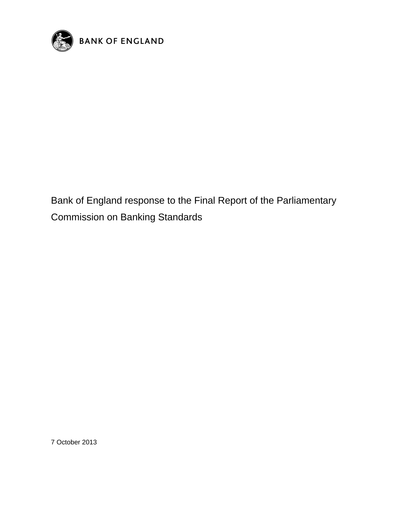

Bank of England response to the Final Report of the Parliamentary Commission on Banking Standards

7 October 2013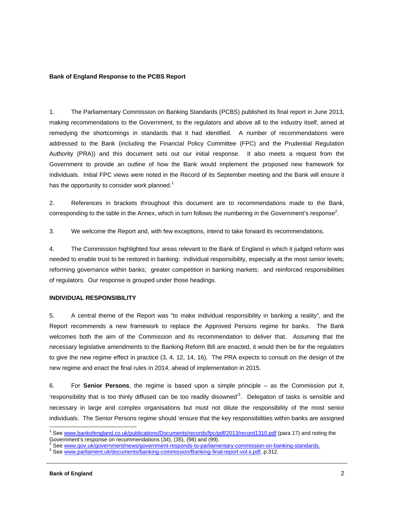#### **Bank of England Response to the PCBS Report**

1. The Parliamentary Commission on Banking Standards (PCBS) published its final report in June 2013, making recommendations to the Government, to the regulators and above all to the industry itself, aimed at remedying the shortcomings in standards that it had identified. A number of recommendations were addressed to the Bank (including the Financial Policy Committee (FPC) and the Prudential Regulation Authority (PRA)) and this document sets out our initial response. It also meets a request from the Government to provide an outline of how the Bank would implement the proposed new framework for individuals. Initial FPC views were noted in the Record of its September meeting and the Bank will ensure it has the opportunity to consider work planned.<sup>1</sup>

2. References in brackets throughout this document are to recommendations made to the Bank, corresponding to the table in the Annex, which in turn follows the numbering in the Government's response<sup>2</sup>.

3. We welcome the Report and, with few exceptions, intend to take forward its recommendations.

4. The Commission highlighted four areas relevant to the Bank of England in which it judged reform was needed to enable trust to be restored in banking: individual responsibility, especially at the most senior levels; reforming governance within banks; greater competition in banking markets; and reinforced responsibilities of regulators. Our response is grouped under those headings.

## **INDIVIDUAL RESPONSIBILITY**

5. A central theme of the Report was "to make individual responsibility in banking a reality", and the Report recommends a new framework to replace the Approved Persons regime for banks. The Bank welcomes both the aim of the Commission and its recommendation to deliver that. Assuming that the necessary legislative amendments to the Banking Reform Bill are enacted, it would then be for the regulators to give the new regime effect in practice (3, 4, 12, 14, 16). The PRA expects to consult on the design of the new regime and enact the final rules in 2014, ahead of implementation in 2015.

6. For **Senior Persons**, the regime is based upon a simple principle – as the Commission put it, 'responsibility that is too thinly diffused can be too readily disowned<sup>3</sup>. Delegation of tasks is sensible and necessary in large and complex organisations but must not dilute the responsibility of the most senior individuals. The Senior Persons regime should 'ensure that the key responsibilities within banks are assigned

<sup>&</sup>lt;sup>1</sup> See www.bankofengland.co.uk/publications/Documents/records/fpc/pdf/2013/record1310.pdf (para 17) and noting the Government's response on recommendations (34), (35), (98) and (99).<br><sup>2</sup> See www.gov.uk/government/noug/government responde to perliame

See www.gov.uk/government/news/government-responds-to-parliamentary-commission-on-banking-standards.

See www.parliament.uk/documents/banking-commission/Banking-final-report-vol-ii.pdf, p.312.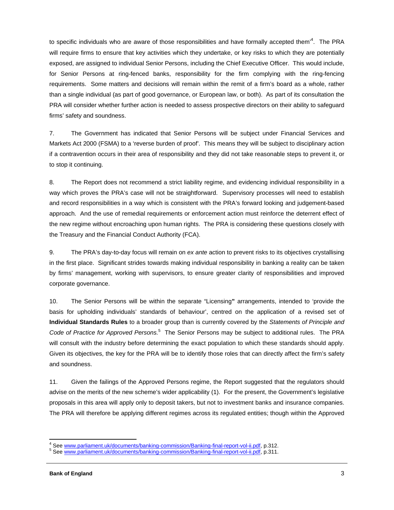to specific individuals who are aware of those responsibilities and have formally accepted them<sup>34</sup>. The PRA will require firms to ensure that key activities which they undertake, or key risks to which they are potentially exposed, are assigned to individual Senior Persons, including the Chief Executive Officer. This would include, for Senior Persons at ring-fenced banks, responsibility for the firm complying with the ring-fencing requirements. Some matters and decisions will remain within the remit of a firm's board as a whole, rather than a single individual (as part of good governance, or European law, or both). As part of its consultation the PRA will consider whether further action is needed to assess prospective directors on their ability to safeguard firms' safety and soundness.

7. The Government has indicated that Senior Persons will be subject under Financial Services and Markets Act 2000 (FSMA) to a 'reverse burden of proof'. This means they will be subject to disciplinary action if a contravention occurs in their area of responsibility and they did not take reasonable steps to prevent it, or to stop it continuing.

8. The Report does not recommend a strict liability regime, and evidencing individual responsibility in a way which proves the PRA's case will not be straightforward. Supervisory processes will need to establish and record responsibilities in a way which is consistent with the PRA's forward looking and judgement-based approach. And the use of remedial requirements or enforcement action must reinforce the deterrent effect of the new regime without encroaching upon human rights. The PRA is considering these questions closely with the Treasury and the Financial Conduct Authority (FCA).

9. The PRA's day-to-day focus will remain on *ex ante* action to prevent risks to its objectives crystallising in the first place. Significant strides towards making individual responsibility in banking a reality can be taken by firms' management, working with supervisors, to ensure greater clarity of responsibilities and improved corporate governance.

10. The Senior Persons will be within the separate "Licensing**"** arrangements, intended to 'provide the basis for upholding individuals' standards of behaviour', centred on the application of a revised set of **Individual Standards Rules** to a broader group than is currently covered by the *Statements of Principle and*  Code of Practice for Approved Persons.<sup>5</sup> The Senior Persons may be subject to additional rules. The PRA will consult with the industry before determining the exact population to which these standards should apply. Given its objectives, the key for the PRA will be to identify those roles that can directly affect the firm's safety and soundness.

11. Given the failings of the Approved Persons regime, the Report suggested that the regulators should advise on the merits of the new scheme's wider applicability (1). For the present, the Government's legislative proposals in this area will apply only to deposit takers, but not to investment banks and insurance companies. The PRA will therefore be applying different regimes across its regulated entities; though within the Approved

<sup>&</sup>lt;u>.</u><br>4 See <u>www.parliament.uk/documents/banking-commission/Banking-final-report-vol-ii.pdf,</u> p.312.<br><sup>5</sup> See <u>www.parliament.uk/documents/banking-commission/Banking-final-report-vol-ii.pdf, p.311.</u>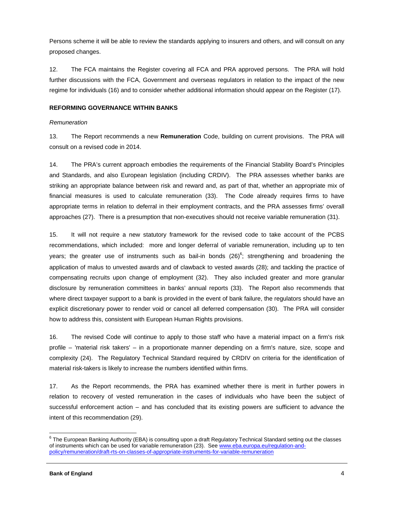Persons scheme it will be able to review the standards applying to insurers and others, and will consult on any proposed changes.

12. The FCA maintains the Register covering all FCA and PRA approved persons. The PRA will hold further discussions with the FCA, Government and overseas regulators in relation to the impact of the new regime for individuals (16) and to consider whether additional information should appear on the Register (17).

# **REFORMING GOVERNANCE WITHIN BANKS**

## *Remuneration*

13. The Report recommends a new **Remuneration** Code, building on current provisions. The PRA will consult on a revised code in 2014.

14. The PRA's current approach embodies the requirements of the Financial Stability Board's Principles and Standards, and also European legislation (including CRDIV). The PRA assesses whether banks are striking an appropriate balance between risk and reward and, as part of that, whether an appropriate mix of financial measures is used to calculate remuneration (33). The Code already requires firms to have appropriate terms in relation to deferral in their employment contracts, and the PRA assesses firms' overall approaches (27). There is a presumption that non-executives should not receive variable remuneration (31).

15. It will not require a new statutory framework for the revised code to take account of the PCBS recommendations, which included: more and longer deferral of variable remuneration, including up to ten years; the greater use of instruments such as bail-in bonds (26)<sup>6</sup>; strengthening and broadening the application of malus to unvested awards and of clawback to vested awards (28); and tackling the practice of compensating recruits upon change of employment (32). They also included greater and more granular disclosure by remuneration committees in banks' annual reports (33). The Report also recommends that where direct taxpayer support to a bank is provided in the event of bank failure, the regulators should have an explicit discretionary power to render void or cancel all deferred compensation (30). The PRA will consider how to address this, consistent with European Human Rights provisions.

16. The revised Code will continue to apply to those staff who have a material impact on a firm's risk profile – 'material risk takers' – in a proportionate manner depending on a firm's nature, size, scope and complexity (24). The Regulatory Technical Standard required by CRDIV on criteria for the identification of material risk-takers is likely to increase the numbers identified within firms.

17. As the Report recommends, the PRA has examined whether there is merit in further powers in relation to recovery of vested remuneration in the cases of individuals who have been the subject of successful enforcement action – and has concluded that its existing powers are sufficient to advance the intent of this recommendation (29).

e<br><sup>6</sup> The European Banking Authority (EBA) is consulting upon a draft Regulatory Technical Standard setting out the classes of instruments which can be used for variable remuneration (23). See www.eba.europa.eu/regulation-andpolicy/remuneration/draft-rts-on-classes-of-appropriate-instruments-for-variable-remuneration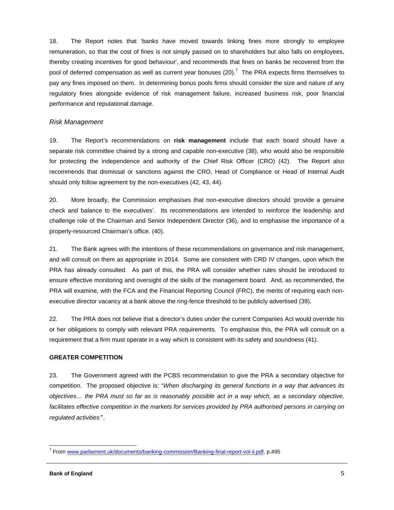18. The Report notes that 'banks have moved towards linking fines more strongly to employee remuneration, so that the cost of fines is not simply passed on to shareholders but also falls on employees, thereby creating incentives for good behaviour', and recommends that fines on banks be recovered from the pool of deferred compensation as well as current year bonuses (20).<sup>7</sup> The PRA expects firms themselves to pay any fines imposed on them. In determining bonus pools firms should consider the size and nature of any regulatory fines alongside evidence of risk management failure, increased business risk, poor financial performance and reputational damage.

## *Risk Management*

19. The Report's recommendations on **risk management** include that each board should have a separate risk committee chaired by a strong and capable non-executive (38), who would also be responsible for protecting the independence and authority of the Chief Risk Officer (CRO) (42). The Report also recommends that dismissal or sanctions against the CRO, Head of Compliance or Head of Internal Audit should only follow agreement by the non-executives (42, 43, 44).

20. More broadly, the Commission emphasises that non-executive directors should 'provide a genuine check and balance to the executives'. Its recommendations are intended to reinforce the leadership and challenge role of the Chairman and Senior Independent Director (36), and to emphasise the importance of a properly-resourced Chairman's office. (40).

21. The Bank agrees with the intentions of these recommendations on governance and risk management, and will consult on them as appropriate in 2014. Some are consistent with CRD IV changes, upon which the PRA has already consulted. As part of this, the PRA will consider whether rules should be introduced to ensure effective monitoring and oversight of the skills of the management board. And, as recommended, the PRA will examine, with the FCA and the Financial Reporting Council (FRC), the merits of requiring each nonexecutive director vacancy at a bank above the ring-fence threshold to be publicly advertised (39).

22. The PRA does not believe that a director's duties under the current Companies Act would override his or her obligations to comply with relevant PRA requirements. To emphasise this, the PRA will consult on a requirement that a firm must operate in a way which is consistent with its safety and soundness (41).

#### **GREATER COMPETITION**

23. The Government agreed with the PCBS recommendation to give the PRA a secondary objective for competition. The proposed objective is: "*When discharging its general functions in a way that advances its objectives… the PRA must so far as is reasonably possible act in a way which, as a secondary objective,*  facilitates effective competition in the markets for services provided by PRA authorised persons in carrying on *regulated activities"*.

 7 From www.parliament.uk/documents/banking-commission/Banking-final-report-vol-ii.pdf, p.495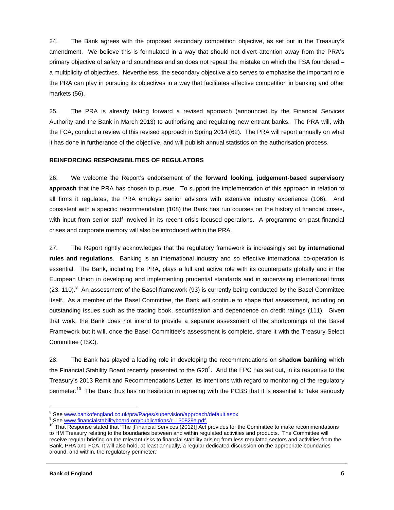24. The Bank agrees with the proposed secondary competition objective, as set out in the Treasury's amendment. We believe this is formulated in a way that should not divert attention away from the PRA's primary objective of safety and soundness and so does not repeat the mistake on which the FSA foundered – a multiplicity of objectives. Nevertheless, the secondary objective also serves to emphasise the important role the PRA can play in pursuing its objectives in a way that facilitates effective competition in banking and other markets (56).

25. The PRA is already taking forward a revised approach (announced by the Financial Services Authority and the Bank in March 2013) to authorising and regulating new entrant banks. The PRA will, with the FCA, conduct a review of this revised approach in Spring 2014 (62). The PRA will report annually on what it has done in furtherance of the objective, and will publish annual statistics on the authorisation process.

## **REINFORCING RESPONSIBILITIES OF REGULATORS**

26. We welcome the Report's endorsement of the **forward looking, judgement-based supervisory approach** that the PRA has chosen to pursue. To support the implementation of this approach in relation to all firms it regulates, the PRA employs senior advisors with extensive industry experience (106). And consistent with a specific recommendation (108) the Bank has run courses on the history of financial crises, with input from senior staff involved in its recent crisis-focused operations. A programme on past financial crises and corporate memory will also be introduced within the PRA.

27. The Report rightly acknowledges that the regulatory framework is increasingly set **by international rules and regulations**. Banking is an international industry and so effective international co-operation is essential. The Bank, including the PRA, plays a full and active role with its counterparts globally and in the European Union in developing and implementing prudential standards and in supervising international firms  $(23, 110).$ <sup>8</sup> An assessment of the Basel framework (93) is currently being conducted by the Basel Committee itself. As a member of the Basel Committee, the Bank will continue to shape that assessment, including on outstanding issues such as the trading book, securitisation and dependence on credit ratings (111). Given that work, the Bank does not intend to provide a separate assessment of the shortcomings of the Basel Framework but it will, once the Basel Committee's assessment is complete, share it with the Treasury Select Committee (TSC).

28. The Bank has played a leading role in developing the recommendations on **shadow banking** which the Financial Stability Board recently presented to the G20<sup>9</sup>. And the FPC has set out, in its response to the Treasury's 2013 Remit and Recommendations Letter, its intentions with regard to monitoring of the regulatory perimeter.<sup>10</sup> The Bank thus has no hesitation in agreeing with the PCBS that it is essential to 'take seriously

<sup>&</sup>lt;sup>8</sup><br>See <u>www.bankofengland.co.uk/pra/Pages/supervision/approach/default.aspx</u><br><sup>9</sup> See www.financialatebilityboord.cra/publicationa/r. 120920p.pdf

See www.financialstabilityboard.org/publications/r\_130829a.pdf.<br><sup>10</sup> That Response stated that 'The [Financial Services (2012)] Act provides for the Committee to make recommendations to HM Treasury relating to the boundaries between and within regulated activities and products. The Committee will receive regular briefing on the relevant risks to financial stability arising from less regulated sectors and activities from the Bank, PRA and FCA. It will also hold, at least annually, a regular dedicated discussion on the appropriate boundaries around, and within, the regulatory perimeter.'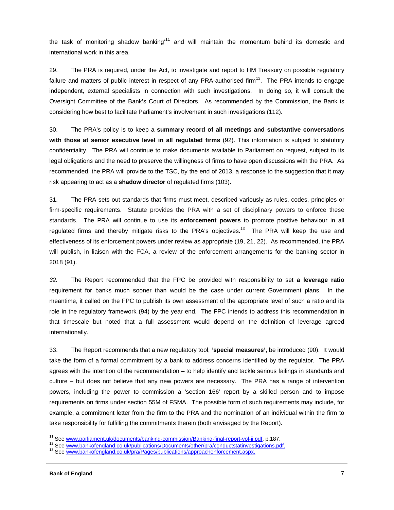the task of monitoring shadow banking<sup>11</sup> and will maintain the momentum behind its domestic and international work in this area.

29. The PRA is required, under the Act, to investigate and report to HM Treasury on possible regulatory failure and matters of public interest in respect of any PRA-authorised firm<sup>12</sup>. The PRA intends to engage independent, external specialists in connection with such investigations. In doing so, it will consult the Oversight Committee of the Bank's Court of Directors. As recommended by the Commission, the Bank is considering how best to facilitate Parliament's involvement in such investigations (112).

30. The PRA's policy is to keep a **summary record of all meetings and substantive conversations with those at senior executive level in all regulated firms** (92). This information is subject to statutory confidentiality. The PRA will continue to make documents available to Parliament on request, subject to its legal obligations and the need to preserve the willingness of firms to have open discussions with the PRA. As recommended, the PRA will provide to the TSC, by the end of 2013, a response to the suggestion that it may risk appearing to act as a **shadow director** of regulated firms (103).

31. The PRA sets out standards that firms must meet, described variously as rules, codes, principles or firm-specific requirements. Statute provides the PRA with a set of disciplinary powers to enforce these standards. The PRA will continue to use its **enforcement powers** to promote positive behaviour in all regulated firms and thereby mitigate risks to the PRA's objectives.<sup>13</sup> The PRA will keep the use and effectiveness of its enforcement powers under review as appropriate (19, 21, 22). As recommended, the PRA will publish, in liaison with the FCA, a review of the enforcement arrangements for the banking sector in 2018 (91).

*32.* The Report recommended that the FPC be provided with responsibility to set **a leverage ratio** requirement for banks much sooner than would be the case under current Government plans. In the meantime, it called on the FPC to publish its own assessment of the appropriate level of such a ratio and its role in the regulatory framework (94) by the year end. The FPC intends to address this recommendation in that timescale but noted that a full assessment would depend on the definition of leverage agreed internationally.

33. The Report recommends that a new regulatory tool, **'special measures'**, be introduced (90). It would take the form of a formal commitment by a bank to address concerns identified by the regulator. The PRA agrees with the intention of the recommendation – to help identify and tackle serious failings in standards and culture – but does not believe that any new powers are necessary. The PRA has a range of intervention powers, including the power to commission a 'section 166' report by a skilled person and to impose requirements on firms under section 55M of FSMA. The possible form of such requirements may include, for example, a commitment letter from the firm to the PRA and the nomination of an individual within the firm to take responsibility for fulfilling the commitments therein (both envisaged by the Report).

<sup>&</sup>lt;sup>11</sup> See www.parliament.uk/documents/banking-commission/Banking-final-report-vol-ii.pdf, p.187.

<sup>&</sup>lt;sup>12</sup> See www.bankofengland.co.uk/publications/Documents/other/pra/conductstatinvestigations.pdf.<br><sup>13</sup> See www.bankofengland.co.uk/pra/Pages/publications/approachenforcement.aspx.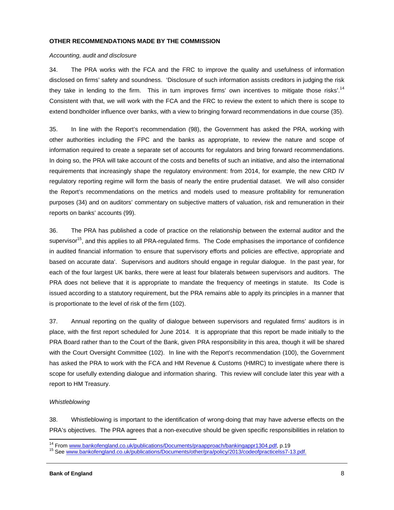#### **OTHER RECOMMENDATIONS MADE BY THE COMMISSION**

#### *Accounting, audit and disclosure*

34. The PRA works with the FCA and the FRC to improve the quality and usefulness of information disclosed on firms' safety and soundness. 'Disclosure of such information assists creditors in judging the risk they take in lending to the firm. This in turn improves firms' own incentives to mitigate those risks'.<sup>14</sup> Consistent with that, we will work with the FCA and the FRC to review the extent to which there is scope to extend bondholder influence over banks, with a view to bringing forward recommendations in due course (35).

35. In line with the Report's recommendation (98), the Government has asked the PRA, working with other authorities including the FPC and the banks as appropriate, to review the nature and scope of information required to create a separate set of accounts for regulators and bring forward recommendations. In doing so, the PRA will take account of the costs and benefits of such an initiative, and also the international requirements that increasingly shape the regulatory environment: from 2014, for example, the new CRD IV regulatory reporting regime will form the basis of nearly the entire prudential dataset. We will also consider the Report's recommendations on the metrics and models used to measure profitability for remuneration purposes (34) and on auditors' commentary on subjective matters of valuation, risk and remuneration in their reports on banks' accounts (99).

36. The PRA has published a code of practice on the relationship between the external auditor and the supervisor<sup>15</sup>, and this applies to all PRA-regulated firms. The Code emphasises the importance of confidence in audited financial information 'to ensure that supervisory efforts and policies are effective, appropriate and based on accurate data'. Supervisors and auditors should engage in regular dialogue. In the past year, for each of the four largest UK banks, there were at least four bilaterals between supervisors and auditors. The PRA does not believe that it is appropriate to mandate the frequency of meetings in statute. Its Code is issued according to a statutory requirement, but the PRA remains able to apply its principles in a manner that is proportionate to the level of risk of the firm (102).

37. Annual reporting on the quality of dialogue between supervisors and regulated firms' auditors is in place, with the first report scheduled for June 2014. It is appropriate that this report be made initially to the PRA Board rather than to the Court of the Bank, given PRA responsibility in this area, though it will be shared with the Court Oversight Committee (102). In line with the Report's recommendation (100), the Government has asked the PRA to work with the FCA and HM Revenue & Customs (HMRC) to investigate where there is scope for usefully extending dialogue and information sharing. This review will conclude later this year with a report to HM Treasury.

## *Whistleblowing*

38. Whistleblowing is important to the identification of wrong-doing that may have adverse effects on the PRA's objectives. The PRA agrees that a non-executive should be given specific responsibilities in relation to

 $\frac{1}{\sqrt{2}}$  . The contract of the contract of the contract of the contract of the contract of the contract of the contract of the contract of the contract of the contract of the contract of the contract of the contract o

<sup>&</sup>lt;sup>14</sup> From <u>www.bankofengland.co.uk/publications/Documents/praapproach/bankingappr1304.pdf,</u> p.19<br><sup>15</sup> See <u>www.bankofengland.co.uk/publications/Documents/other/pra/policy/2013/codeofpracticelss7-13.pdf.</u>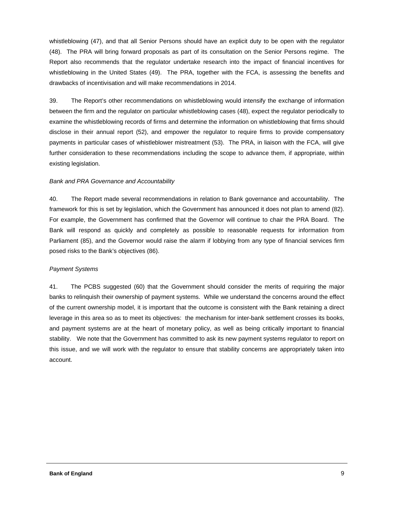whistleblowing (47), and that all Senior Persons should have an explicit duty to be open with the regulator (48). The PRA will bring forward proposals as part of its consultation on the Senior Persons regime. The Report also recommends that the regulator undertake research into the impact of financial incentives for whistleblowing in the United States (49). The PRA, together with the FCA, is assessing the benefits and drawbacks of incentivisation and will make recommendations in 2014.

39. The Report's other recommendations on whistleblowing would intensify the exchange of information between the firm and the regulator on particular whistleblowing cases (48), expect the regulator periodically to examine the whistleblowing records of firms and determine the information on whistleblowing that firms should disclose in their annual report (52), and empower the regulator to require firms to provide compensatory payments in particular cases of whistleblower mistreatment (53). The PRA, in liaison with the FCA, will give further consideration to these recommendations including the scope to advance them, if appropriate, within existing legislation.

## *Bank and PRA Governance and Accountability*

40. The Report made several recommendations in relation to Bank governance and accountability. The framework for this is set by legislation, which the Government has announced it does not plan to amend (82). For example, the Government has confirmed that the Governor will continue to chair the PRA Board. The Bank will respond as quickly and completely as possible to reasonable requests for information from Parliament (85), and the Governor would raise the alarm if lobbying from any type of financial services firm posed risks to the Bank's objectives (86).

#### *Payment Systems*

41. The PCBS suggested (60) that the Government should consider the merits of requiring the major banks to relinquish their ownership of payment systems. While we understand the concerns around the effect of the current ownership model, it is important that the outcome is consistent with the Bank retaining a direct leverage in this area so as to meet its objectives: the mechanism for inter-bank settlement crosses its books, and payment systems are at the heart of monetary policy, as well as being critically important to financial stability. We note that the Government has committed to ask its new payment systems regulator to report on this issue, and we will work with the regulator to ensure that stability concerns are appropriately taken into account.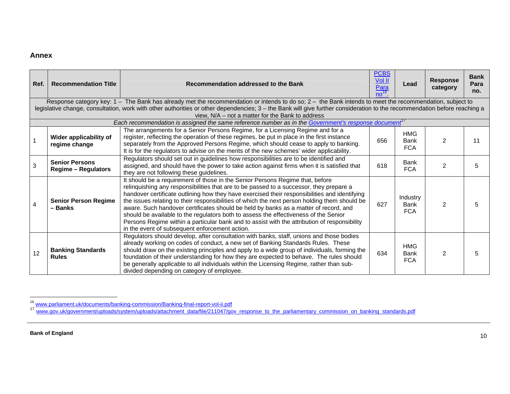# **Annex**

| Ref.           | <b>Recommendation Title</b>                                                                                                                                                                                                                                                                                                                                                              | Recommendation addressed to the Bank                                                                                                                                                                                                                                                                                                                                                                                                                                                                                                                                                                                                                                                                         | <b>PCBS</b><br><b>Vol II</b><br>$\frac{\text{Para}}{\text{no}^{16}}$ | Lead                                    | <b>Response</b><br>category | <b>Bank</b><br>Para<br>no. |  |  |  |  |
|----------------|------------------------------------------------------------------------------------------------------------------------------------------------------------------------------------------------------------------------------------------------------------------------------------------------------------------------------------------------------------------------------------------|--------------------------------------------------------------------------------------------------------------------------------------------------------------------------------------------------------------------------------------------------------------------------------------------------------------------------------------------------------------------------------------------------------------------------------------------------------------------------------------------------------------------------------------------------------------------------------------------------------------------------------------------------------------------------------------------------------------|----------------------------------------------------------------------|-----------------------------------------|-----------------------------|----------------------------|--|--|--|--|
|                | Response category key: 1 - The Bank has already met the recommendation or intends to do so; 2 - the Bank intends to meet the recommendation, subject to<br>legislative change, consultation, work with other authorities or other dependencies; 3 - the Bank will give further consideration to the recommendation before reaching a<br>view, N/A - not a matter for the Bank to address |                                                                                                                                                                                                                                                                                                                                                                                                                                                                                                                                                                                                                                                                                                              |                                                                      |                                         |                             |                            |  |  |  |  |
|                |                                                                                                                                                                                                                                                                                                                                                                                          | Each recommendation is assigned the same reference number as in the Government's response document <sup>17</sup>                                                                                                                                                                                                                                                                                                                                                                                                                                                                                                                                                                                             |                                                                      |                                         |                             |                            |  |  |  |  |
|                | Wider applicability of<br>regime change                                                                                                                                                                                                                                                                                                                                                  | The arrangements for a Senior Persons Regime, for a Licensing Regime and for a<br>register, reflecting the operation of these regimes, be put in place in the first instance<br>separately from the Approved Persons Regime, which should cease to apply to banking.<br>It is for the regulators to advise on the merits of the new schemes' wider applicability.                                                                                                                                                                                                                                                                                                                                            | 656                                                                  | <b>HMG</b><br><b>Bank</b><br><b>FCA</b> | 2                           | 11                         |  |  |  |  |
| 3              | <b>Senior Persons</b><br><b>Regime - Regulators</b>                                                                                                                                                                                                                                                                                                                                      | Regulators should set out in guidelines how responsibilities are to be identified and<br>assigned, and should have the power to take action against firms when it is satisfied that<br>they are not following these guidelines.                                                                                                                                                                                                                                                                                                                                                                                                                                                                              | 618                                                                  | <b>Bank</b><br><b>FCA</b>               | $\overline{2}$              | 5                          |  |  |  |  |
| $\overline{4}$ | <b>Senior Person Regime</b><br>- Banks                                                                                                                                                                                                                                                                                                                                                   | It should be a requirement of those in the Senior Persons Regime that, before<br>relinquishing any responsibilities that are to be passed to a successor, they prepare a<br>handover certificate outlining how they have exercised their responsibilities and identifying<br>the issues relating to their responsibilities of which the next person holding them should be<br>aware. Such handover certificates should be held by banks as a matter of record, and<br>should be available to the regulators both to assess the effectiveness of the Senior<br>Persons Regime within a particular bank and to assist with the attribution of responsibility<br>in the event of subsequent enforcement action. | 627                                                                  | Industry<br><b>Bank</b><br><b>FCA</b>   | 2                           | 5                          |  |  |  |  |
| 12             | <b>Banking Standards</b><br><b>Rules</b>                                                                                                                                                                                                                                                                                                                                                 | Regulators should develop, after consultation with banks, staff, unions and those bodies<br>already working on codes of conduct, a new set of Banking Standards Rules. These<br>should draw on the existing principles and apply to a wide group of individuals, forming the<br>foundation of their understanding for how they are expected to behave. The rules should<br>be generally applicable to all individuals within the Licensing Regime, rather than sub-<br>divided depending on category of employee.                                                                                                                                                                                            | 634                                                                  | <b>HMG</b><br><b>Bank</b><br><b>FCA</b> | $\overline{2}$              | 5                          |  |  |  |  |

<sup>&</sup>lt;sup>16</sup> www.parliament.uk/documents/banking-commission/Banking-final-report-vol-ii.pdf<br><sup>17</sup> www.gov.uk/government/uploads/system/uploads/attachment\_data/file/211047/gov\_response\_to\_the\_parliamentary\_commission\_on\_banking\_stan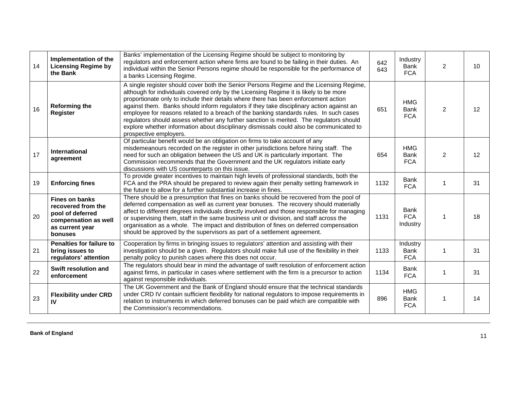| 14 | Implementation of the<br><b>Licensing Regime by</b><br>the Bank                                                       | Banks' implementation of the Licensing Regime should be subject to monitoring by<br>regulators and enforcement action where firms are found to be failing in their duties. An<br>individual within the Senior Persons regime should be responsible for the performance of<br>a banks Licensing Regime.                                                                                                                                                                                                                                                                                                                                                                        | 642<br>643 | Industry<br>Bank<br><b>FCA</b>          | 2              | 10 |
|----|-----------------------------------------------------------------------------------------------------------------------|-------------------------------------------------------------------------------------------------------------------------------------------------------------------------------------------------------------------------------------------------------------------------------------------------------------------------------------------------------------------------------------------------------------------------------------------------------------------------------------------------------------------------------------------------------------------------------------------------------------------------------------------------------------------------------|------------|-----------------------------------------|----------------|----|
| 16 | <b>Reforming the</b><br>Register                                                                                      | A single register should cover both the Senior Persons Regime and the Licensing Regime,<br>although for individuals covered only by the Licensing Regime it is likely to be more<br>proportionate only to include their details where there has been enforcement action<br>against them. Banks should inform regulators if they take disciplinary action against an<br>employee for reasons related to a breach of the banking standards rules. In such cases<br>regulators should assess whether any further sanction is merited. The regulators should<br>explore whether information about disciplinary dismissals could also be communicated to<br>prospective employers. | 651        | <b>HMG</b><br><b>Bank</b><br><b>FCA</b> | $\overline{2}$ | 12 |
| 17 | International<br>agreement                                                                                            | Of particular benefit would be an obligation on firms to take account of any<br>misdemeanours recorded on the register in other jurisdictions before hiring staff. The<br>need for such an obligation between the US and UK is particularly important. The<br>Commission recommends that the Government and the UK regulators initiate early<br>discussions with US counterparts on this issue.                                                                                                                                                                                                                                                                               | 654        | <b>HMG</b><br><b>Bank</b><br><b>FCA</b> | $\overline{2}$ | 12 |
| 19 | <b>Enforcing fines</b>                                                                                                | To provide greater incentives to maintain high levels of professional standards, both the<br>FCA and the PRA should be prepared to review again their penalty setting framework in<br>the future to allow for a further substantial increase in fines.                                                                                                                                                                                                                                                                                                                                                                                                                        | 1132       | <b>Bank</b><br><b>FCA</b>               |                | 31 |
| 20 | <b>Fines on banks</b><br>recovered from the<br>pool of deferred<br>compensation as well<br>as current year<br>bonuses | There should be a presumption that fines on banks should be recovered from the pool of<br>deferred compensation as well as current year bonuses. The recovery should materially<br>affect to different degrees individuals directly involved and those responsible for managing<br>or supervising them, staff in the same business unit or division, and staff across the<br>organisation as a whole. The impact and distribution of fines on deferred compensation<br>should be approved by the supervisors as part of a settlement agreement.                                                                                                                               | 1131       | <b>Bank</b><br><b>FCA</b><br>Industry   | -1             | 18 |
| 21 | <b>Penalties for failure to</b><br>bring issues to<br>regulators' attention                                           | Cooperation by firms in bringing issues to regulators' attention and assisting with their<br>investigation should be a given. Regulators should make full use of the flexibility in their<br>penalty policy to punish cases where this does not occur.                                                                                                                                                                                                                                                                                                                                                                                                                        | 1133       | Industry<br>Bank<br><b>FCA</b>          | 1              | 31 |
| 22 | Swift resolution and<br>enforcement                                                                                   | The regulators should bear in mind the advantage of swift resolution of enforcement action<br>against firms, in particular in cases where settlement with the firm is a precursor to action<br>against responsible individuals.                                                                                                                                                                                                                                                                                                                                                                                                                                               | 1134       | <b>Bank</b><br><b>FCA</b>               | 1              | 31 |
| 23 | <b>Flexibility under CRD</b><br>IV                                                                                    | The UK Government and the Bank of England should ensure that the technical standards<br>under CRD IV contain sufficient flexibility for national regulators to impose requirements in<br>relation to instruments in which deferred bonuses can be paid which are compatible with<br>the Commission's recommendations.                                                                                                                                                                                                                                                                                                                                                         | 896        | <b>HMG</b><br><b>Bank</b><br><b>FCA</b> | 1              | 14 |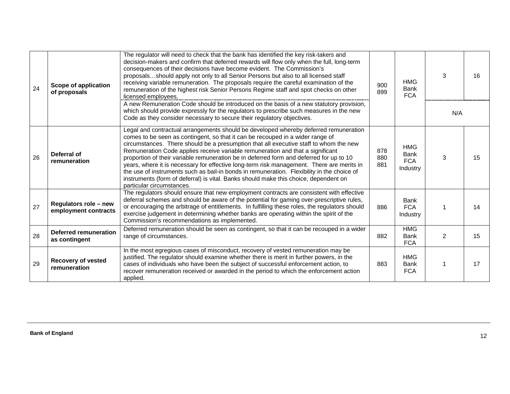| 24 | <b>Scope of application</b><br>of proposals   | The regulator will need to check that the bank has identified the key risk-takers and<br>decision-makers and confirm that deferred rewards will flow only when the full, long-term<br>consequences of their decisions have become evident. The Commission's<br>proposalsshould apply not only to all Senior Persons but also to all licensed staff<br>receiving variable remuneration. The proposals require the careful examination of the<br>remuneration of the highest risk Senior Persons Regime staff and spot checks on other<br>licensed employees.<br>A new Remuneration Code should be introduced on the basis of a new statutory provision,<br>which should provide expressly for the regulators to prescribe such measures in the new<br>Code as they consider necessary to secure their regulatory objectives. | 900<br>899        | <b>HMG</b><br><b>Bank</b><br><b>FCA</b>             | 3<br>N/A | 16 |
|----|-----------------------------------------------|-----------------------------------------------------------------------------------------------------------------------------------------------------------------------------------------------------------------------------------------------------------------------------------------------------------------------------------------------------------------------------------------------------------------------------------------------------------------------------------------------------------------------------------------------------------------------------------------------------------------------------------------------------------------------------------------------------------------------------------------------------------------------------------------------------------------------------|-------------------|-----------------------------------------------------|----------|----|
| 26 | Deferral of<br>remuneration                   | Legal and contractual arrangements should be developed whereby deferred remuneration<br>comes to be seen as contingent, so that it can be recouped in a wider range of<br>circumstances. There should be a presumption that all executive staff to whom the new<br>Remuneration Code applies receive variable remuneration and that a significant<br>proportion of their variable remuneration be in deferred form and deferred for up to 10<br>years, where it is necessary for effective long-term risk management. There are merits in<br>the use of instruments such as bail-in bonds in remuneration. Flexibility in the choice of<br>instruments (form of deferral) is vital. Banks should make this choice, dependent on<br>particular circumstances.                                                                | 878<br>880<br>881 | <b>HMG</b><br><b>Bank</b><br><b>FCA</b><br>Industry | 3        | 15 |
| 27 | Regulators role - new<br>employment contracts | The regulators should ensure that new employment contracts are consistent with effective<br>deferral schemes and should be aware of the potential for gaming over-prescriptive rules,<br>or encouraging the arbitrage of entitlements. In fulfilling these roles, the regulators should<br>exercise judgement in determining whether banks are operating within the spirit of the<br>Commission's recommendations as implemented.                                                                                                                                                                                                                                                                                                                                                                                           | 886               | <b>Bank</b><br><b>FCA</b><br>Industry               |          | 14 |
| 28 | <b>Deferred remuneration</b><br>as contingent | Deferred remuneration should be seen as contingent, so that it can be recouped in a wider<br>range of circumstances.                                                                                                                                                                                                                                                                                                                                                                                                                                                                                                                                                                                                                                                                                                        | 882               | <b>HMG</b><br><b>Bank</b><br><b>FCA</b>             | 2        | 15 |
| 29 | <b>Recovery of vested</b><br>remuneration     | In the most egregious cases of misconduct, recovery of vested remuneration may be<br>justified. The regulator should examine whether there is merit in further powers, in the<br>cases of individuals who have been the subject of successful enforcement action, to<br>recover remuneration received or awarded in the period to which the enforcement action<br>applied.                                                                                                                                                                                                                                                                                                                                                                                                                                                  | 883               | <b>HMG</b><br><b>Bank</b><br><b>FCA</b>             |          | 17 |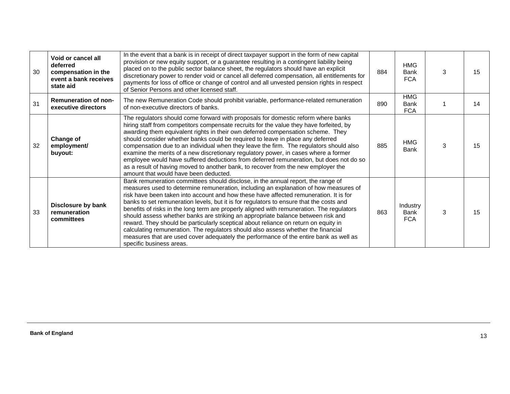| 30 | Void or cancel all<br>deferred<br>compensation in the<br>event a bank receives<br>state aid | In the event that a bank is in receipt of direct taxpayer support in the form of new capital<br>provision or new equity support, or a guarantee resulting in a contingent liability being<br>placed on to the public sector balance sheet, the regulators should have an explicit<br>discretionary power to render void or cancel all deferred compensation, all entitlements for<br>payments for loss of office or change of control and all unvested pension rights in respect<br>of Senior Persons and other licensed staff.                                                                                                                                                                                                                                                                                                                | 884 | <b>HMG</b><br><b>Bank</b><br><b>FCA</b> | 3 | 15 |
|----|---------------------------------------------------------------------------------------------|------------------------------------------------------------------------------------------------------------------------------------------------------------------------------------------------------------------------------------------------------------------------------------------------------------------------------------------------------------------------------------------------------------------------------------------------------------------------------------------------------------------------------------------------------------------------------------------------------------------------------------------------------------------------------------------------------------------------------------------------------------------------------------------------------------------------------------------------|-----|-----------------------------------------|---|----|
| 31 | <b>Remuneration of non-</b><br>executive directors                                          | The new Remuneration Code should prohibit variable, performance-related remuneration<br>of non-executive directors of banks.                                                                                                                                                                                                                                                                                                                                                                                                                                                                                                                                                                                                                                                                                                                   | 890 | <b>HMG</b><br><b>Bank</b><br><b>FCA</b> |   | 14 |
| 32 | Change of<br>employment/<br>buyout:                                                         | The regulators should come forward with proposals for domestic reform where banks<br>hiring staff from competitors compensate recruits for the value they have forfeited, by<br>awarding them equivalent rights in their own deferred compensation scheme. They<br>should consider whether banks could be required to leave in place any deferred<br>compensation due to an individual when they leave the firm. The regulators should also<br>examine the merits of a new discretionary regulatory power, in cases where a former<br>employee would have suffered deductions from deferred remuneration, but does not do so<br>as a result of having moved to another bank, to recover from the new employer the<br>amount that would have been deducted.                                                                                     | 885 | <b>HMG</b><br><b>Bank</b>               | 3 | 15 |
| 33 | Disclosure by bank<br>remuneration<br>committees                                            | Bank remuneration committees should disclose, in the annual report, the range of<br>measures used to determine remuneration, including an explanation of how measures of<br>risk have been taken into account and how these have affected remuneration. It is for<br>banks to set remuneration levels, but it is for regulators to ensure that the costs and<br>benefits of risks in the long term are properly aligned with remuneration. The regulators<br>should assess whether banks are striking an appropriate balance between risk and<br>reward. They should be particularly sceptical about reliance on return on equity in<br>calculating remuneration. The regulators should also assess whether the financial<br>measures that are used cover adequately the performance of the entire bank as well as<br>specific business areas. | 863 | Industry<br><b>Bank</b><br><b>FCA</b>   | 3 | 15 |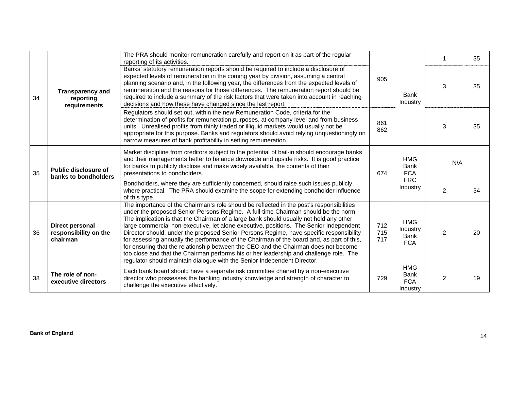|    | The PRA should monitor remuneration carefully and report on it as part of the regular<br>reporting of its activities.<br>Banks' statutory remuneration reports should be required to include a disclosure of<br>expected levels of remuneration in the coming year by division, assuming a central<br>planning scenario and, in the following year, the differences from the expected levels of<br>remuneration and the reasons for those differences. The remuneration report should be<br><b>Transparency and</b><br>required to include a summary of the risk factors that were taken into account in reaching<br>reporting<br>decisions and how these have changed since the last report.<br>requirements<br>Regulators should set out, within the new Remuneration Code, criteria for the<br>determination of profits for remuneration purposes, at company level and from business<br>units. Unrealised profits from thinly traded or illiquid markets would usually not be<br>appropriate for this purpose. Banks and regulators should avoid relying unquestioningly on<br>narrow measures of bank profitability in setting remuneration. |                                                                                                                                                                                                                                                                                                                                                                                                                                                                                                                                                                                                                                                                                                                                                                                                                         |                         |                                                     |                | 35 |
|----|---------------------------------------------------------------------------------------------------------------------------------------------------------------------------------------------------------------------------------------------------------------------------------------------------------------------------------------------------------------------------------------------------------------------------------------------------------------------------------------------------------------------------------------------------------------------------------------------------------------------------------------------------------------------------------------------------------------------------------------------------------------------------------------------------------------------------------------------------------------------------------------------------------------------------------------------------------------------------------------------------------------------------------------------------------------------------------------------------------------------------------------------------|-------------------------------------------------------------------------------------------------------------------------------------------------------------------------------------------------------------------------------------------------------------------------------------------------------------------------------------------------------------------------------------------------------------------------------------------------------------------------------------------------------------------------------------------------------------------------------------------------------------------------------------------------------------------------------------------------------------------------------------------------------------------------------------------------------------------------|-------------------------|-----------------------------------------------------|----------------|----|
| 34 |                                                                                                                                                                                                                                                                                                                                                                                                                                                                                                                                                                                                                                                                                                                                                                                                                                                                                                                                                                                                                                                                                                                                                   | 905                                                                                                                                                                                                                                                                                                                                                                                                                                                                                                                                                                                                                                                                                                                                                                                                                     | <b>Bank</b><br>Industry | 3                                                   | 35             |    |
|    |                                                                                                                                                                                                                                                                                                                                                                                                                                                                                                                                                                                                                                                                                                                                                                                                                                                                                                                                                                                                                                                                                                                                                   |                                                                                                                                                                                                                                                                                                                                                                                                                                                                                                                                                                                                                                                                                                                                                                                                                         | 861<br>862              |                                                     | 3              | 35 |
| 35 | Public disclosure of<br>banks to bondholders                                                                                                                                                                                                                                                                                                                                                                                                                                                                                                                                                                                                                                                                                                                                                                                                                                                                                                                                                                                                                                                                                                      | Market discipline from creditors subject to the potential of bail-in should encourage banks<br>and their managements better to balance downside and upside risks. It is good practice<br>for banks to publicly disclose and make widely available, the contents of their<br>presentations to bondholders.                                                                                                                                                                                                                                                                                                                                                                                                                                                                                                               | 674                     | <b>HMG</b><br><b>Bank</b><br><b>FCA</b>             | N/A            |    |
|    |                                                                                                                                                                                                                                                                                                                                                                                                                                                                                                                                                                                                                                                                                                                                                                                                                                                                                                                                                                                                                                                                                                                                                   | Bondholders, where they are sufficiently concerned, should raise such issues publicly<br>where practical. The PRA should examine the scope for extending bondholder influence<br>of this type.                                                                                                                                                                                                                                                                                                                                                                                                                                                                                                                                                                                                                          |                         | <b>FRC</b><br>Industry                              | 2              | 34 |
| 36 | Direct personal<br>responsibility on the<br>chairman                                                                                                                                                                                                                                                                                                                                                                                                                                                                                                                                                                                                                                                                                                                                                                                                                                                                                                                                                                                                                                                                                              | The importance of the Chairman's role should be reflected in the post's responsibilities<br>under the proposed Senior Persons Regime. A full-time Chairman should be the norm.<br>The implication is that the Chairman of a large bank should usually not hold any other<br>large commercial non-executive, let alone executive, positions. The Senior Independent<br>Director should, under the proposed Senior Persons Regime, have specific responsibility<br>for assessing annually the performance of the Chairman of the board and, as part of this,<br>for ensuring that the relationship between the CEO and the Chairman does not become<br>too close and that the Chairman performs his or her leadership and challenge role. The<br>regulator should maintain dialogue with the Senior Independent Director. | 712<br>715<br>717       | <b>HMG</b><br>Industry<br>Bank<br><b>FCA</b>        | $\overline{2}$ | 20 |
| 38 | The role of non-<br>executive directors                                                                                                                                                                                                                                                                                                                                                                                                                                                                                                                                                                                                                                                                                                                                                                                                                                                                                                                                                                                                                                                                                                           | Each bank board should have a separate risk committee chaired by a non-executive<br>director who possesses the banking industry knowledge and strength of character to<br>challenge the executive effectively.                                                                                                                                                                                                                                                                                                                                                                                                                                                                                                                                                                                                          | 729                     | <b>HMG</b><br><b>Bank</b><br><b>FCA</b><br>Industry | $\overline{2}$ | 19 |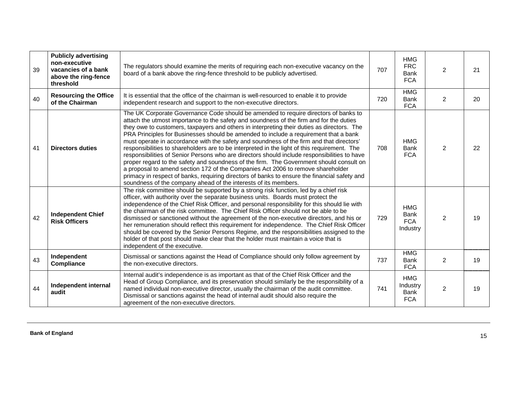| 39 | <b>Publicly advertising</b><br>non-executive<br>vacancies of a bank<br>above the ring-fence<br>threshold | The regulators should examine the merits of requiring each non-executive vacancy on the<br>board of a bank above the ring-fence threshold to be publicly advertised.                                                                                                                                                                                                                                                                                                                                                                                                                                                                                                                                                                                                                                                                                                                                                                                                                                              | 707 | <b>HMG</b><br><b>FRC</b><br>Bank<br><b>FCA</b>      | $\overline{2}$ | 21 |
|----|----------------------------------------------------------------------------------------------------------|-------------------------------------------------------------------------------------------------------------------------------------------------------------------------------------------------------------------------------------------------------------------------------------------------------------------------------------------------------------------------------------------------------------------------------------------------------------------------------------------------------------------------------------------------------------------------------------------------------------------------------------------------------------------------------------------------------------------------------------------------------------------------------------------------------------------------------------------------------------------------------------------------------------------------------------------------------------------------------------------------------------------|-----|-----------------------------------------------------|----------------|----|
| 40 | <b>Resourcing the Office</b><br>of the Chairman                                                          | It is essential that the office of the chairman is well-resourced to enable it to provide<br>independent research and support to the non-executive directors.                                                                                                                                                                                                                                                                                                                                                                                                                                                                                                                                                                                                                                                                                                                                                                                                                                                     | 720 | <b>HMG</b><br><b>Bank</b><br><b>FCA</b>             | $\overline{2}$ | 20 |
| 41 | <b>Directors duties</b>                                                                                  | The UK Corporate Governance Code should be amended to require directors of banks to<br>attach the utmost importance to the safety and soundness of the firm and for the duties<br>they owe to customers, taxpayers and others in interpreting their duties as directors. The<br>PRA Principles for Businesses should be amended to include a requirement that a bank<br>must operate in accordance with the safety and soundness of the firm and that directors'<br>responsibilities to shareholders are to be interpreted in the light of this requirement. The<br>responsibilities of Senior Persons who are directors should include responsibilities to have<br>proper regard to the safety and soundness of the firm. The Government should consult on<br>a proposal to amend section 172 of the Companies Act 2006 to remove shareholder<br>primacy in respect of banks, requiring directors of banks to ensure the financial safety and<br>soundness of the company ahead of the interests of its members. | 708 | <b>HMG</b><br><b>Bank</b><br><b>FCA</b>             | $\overline{2}$ | 22 |
| 42 | <b>Independent Chief</b><br><b>Risk Officers</b>                                                         | The risk committee should be supported by a strong risk function, led by a chief risk<br>officer, with authority over the separate business units. Boards must protect the<br>independence of the Chief Risk Officer, and personal responsibility for this should lie with<br>the chairman of the risk committee. The Chief Risk Officer should not be able to be<br>dismissed or sanctioned without the agreement of the non-executive directors, and his or<br>her remuneration should reflect this requirement for independence. The Chief Risk Officer<br>should be covered by the Senior Persons Regime, and the responsibilities assigned to the<br>holder of that post should make clear that the holder must maintain a voice that is<br>independent of the executive.                                                                                                                                                                                                                                    | 729 | <b>HMG</b><br><b>Bank</b><br><b>FCA</b><br>Industry | $\overline{2}$ | 19 |
| 43 | Independent<br>Compliance                                                                                | Dismissal or sanctions against the Head of Compliance should only follow agreement by<br>the non-executive directors.                                                                                                                                                                                                                                                                                                                                                                                                                                                                                                                                                                                                                                                                                                                                                                                                                                                                                             | 737 | <b>HMG</b><br><b>Bank</b><br><b>FCA</b>             | $\overline{2}$ | 19 |
| 44 | Independent internal<br>audit                                                                            | Internal audit's independence is as important as that of the Chief Risk Officer and the<br>Head of Group Compliance, and its preservation should similarly be the responsibility of a<br>named individual non-executive director, usually the chairman of the audit committee.<br>Dismissal or sanctions against the head of internal audit should also require the<br>agreement of the non-executive directors.                                                                                                                                                                                                                                                                                                                                                                                                                                                                                                                                                                                                  | 741 | <b>HMG</b><br>Industry<br>Bank<br><b>FCA</b>        | $\overline{2}$ | 19 |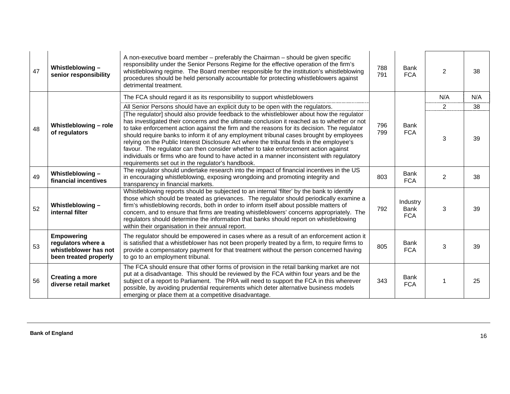| 47 | Whistleblowing-<br>senior responsibility                                                  | A non-executive board member – preferably the Chairman – should be given specific<br>responsibility under the Senior Persons Regime for the effective operation of the firm's<br>whistleblowing regime. The Board member responsible for the institution's whistleblowing<br>procedures should be held personally accountable for protecting whistleblowers against<br>detrimental treatment.                                                                                                                                                                                                                                                                                                                          | 788<br>791 | <b>Bank</b><br><b>FCA</b>             | 2              | 38  |
|----|-------------------------------------------------------------------------------------------|------------------------------------------------------------------------------------------------------------------------------------------------------------------------------------------------------------------------------------------------------------------------------------------------------------------------------------------------------------------------------------------------------------------------------------------------------------------------------------------------------------------------------------------------------------------------------------------------------------------------------------------------------------------------------------------------------------------------|------------|---------------------------------------|----------------|-----|
|    |                                                                                           | The FCA should regard it as its responsibility to support whistleblowers                                                                                                                                                                                                                                                                                                                                                                                                                                                                                                                                                                                                                                               |            |                                       | N/A            | N/A |
|    |                                                                                           | All Senior Persons should have an explicit duty to be open with the regulators.                                                                                                                                                                                                                                                                                                                                                                                                                                                                                                                                                                                                                                        |            |                                       | $\overline{2}$ | 38  |
| 48 | Whistleblowing - role<br>of regulators                                                    | [The regulator] should also provide feedback to the whistleblower about how the regulator<br>has investigated their concerns and the ultimate conclusion it reached as to whether or not<br>to take enforcement action against the firm and the reasons for its decision. The regulator<br>should require banks to inform it of any employment tribunal cases brought by employees<br>relying on the Public Interest Disclosure Act where the tribunal finds in the employee's<br>favour. The regulator can then consider whether to take enforcement action against<br>individuals or firms who are found to have acted in a manner inconsistent with regulatory<br>requirements set out in the regulator's handbook. | 796<br>799 | <b>Bank</b><br><b>FCA</b>             | 3              | 39  |
| 49 | Whistleblowing-<br>financial incentives                                                   | The regulator should undertake research into the impact of financial incentives in the US<br>in encouraging whistleblowing, exposing wrongdoing and promoting integrity and<br>transparency in financial markets.                                                                                                                                                                                                                                                                                                                                                                                                                                                                                                      | 803        | Bank<br><b>FCA</b>                    | $\overline{2}$ | 38  |
| 52 | Whistleblowing $-$<br>internal filter                                                     | Whistleblowing reports should be subjected to an internal 'filter' by the bank to identify<br>those which should be treated as grievances. The regulator should periodically examine a<br>firm's whistleblowing records, both in order to inform itself about possible matters of<br>concern, and to ensure that firms are treating whistleblowers' concerns appropriately. The<br>regulators should determine the information that banks should report on whistleblowing<br>within their organisation in their annual report.                                                                                                                                                                                         | 792        | Industry<br><b>Bank</b><br><b>FCA</b> | 3              | 39  |
| 53 | <b>Empowering</b><br>regulators where a<br>whistleblower has not<br>been treated properly | The regulator should be empowered in cases where as a result of an enforcement action it<br>is satisfied that a whistleblower has not been properly treated by a firm, to require firms to<br>provide a compensatory payment for that treatment without the person concerned having<br>to go to an employment tribunal.                                                                                                                                                                                                                                                                                                                                                                                                | 805        | <b>Bank</b><br><b>FCA</b>             | 3              | 39  |
| 56 | <b>Creating a more</b><br>diverse retail market                                           | The FCA should ensure that other forms of provision in the retail banking market are not<br>put at a disadvantage. This should be reviewed by the FCA within four years and be the<br>subject of a report to Parliament. The PRA will need to support the FCA in this wherever<br>possible, by avoiding prudential requirements which deter alternative business models<br>emerging or place them at a competitive disadvantage.                                                                                                                                                                                                                                                                                       | 343        | <b>Bank</b><br><b>FCA</b>             |                | 25  |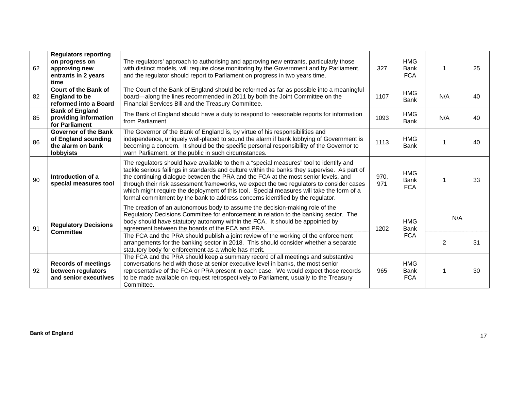| 62 | <b>Regulators reporting</b><br>on progress on<br>approving new<br>entrants in 2 years<br>time | The regulators' approach to authorising and approving new entrants, particularly those<br>with distinct models, will require close monitoring by the Government and by Parliament,<br>and the regulator should report to Parliament on progress in two years time.                                                                                                                                                                                                                                                                                      | 327         | <b>HMG</b><br><b>Bank</b><br><b>FCA</b> |                | 25 |
|----|-----------------------------------------------------------------------------------------------|---------------------------------------------------------------------------------------------------------------------------------------------------------------------------------------------------------------------------------------------------------------------------------------------------------------------------------------------------------------------------------------------------------------------------------------------------------------------------------------------------------------------------------------------------------|-------------|-----------------------------------------|----------------|----|
| 82 | <b>Court of the Bank of</b><br><b>England to be</b><br>reformed into a Board                  | The Court of the Bank of England should be reformed as far as possible into a meaningful<br>board—along the lines recommended in 2011 by both the Joint Committee on the<br>Financial Services Bill and the Treasury Committee.                                                                                                                                                                                                                                                                                                                         | 1107        | <b>HMG</b><br><b>Bank</b>               | N/A            | 40 |
| 85 | <b>Bank of England</b><br>providing information<br>for Parliament                             | The Bank of England should have a duty to respond to reasonable reports for information<br>from Parliament                                                                                                                                                                                                                                                                                                                                                                                                                                              | 1093        | <b>HMG</b><br><b>Bank</b>               | N/A            | 40 |
| 86 | <b>Governor of the Bank</b><br>of England sounding<br>the alarm on bank<br><b>lobbyists</b>   | The Governor of the Bank of England is, by virtue of his responsibilities and<br>independence, uniquely well-placed to sound the alarm if bank lobbying of Government is<br>becoming a concern. It should be the specific personal responsibility of the Governor to<br>warn Parliament, or the public in such circumstances.                                                                                                                                                                                                                           | 1113        | <b>HMG</b><br><b>Bank</b>               |                | 40 |
| 90 | Introduction of a<br>special measures tool                                                    | The regulators should have available to them a "special measures" tool to identify and<br>tackle serious failings in standards and culture within the banks they supervise. As part of<br>the continuing dialogue between the PRA and the FCA at the most senior levels, and<br>through their risk assessment frameworks, we expect the two regulators to consider cases<br>which might require the deployment of this tool. Special measures will take the form of a<br>formal commitment by the bank to address concerns identified by the regulator. | 970,<br>971 | <b>HMG</b><br><b>Bank</b><br><b>FCA</b> |                | 33 |
| 91 | <b>Regulatory Decisions</b>                                                                   | The creation of an autonomous body to assume the decision-making role of the<br>Regulatory Decisions Committee for enforcement in relation to the banking sector. The<br>body should have statutory autonomy within the FCA. It should be appointed by<br>agreement between the boards of the FCA and PRA.                                                                                                                                                                                                                                              | 1202        | <b>HMG</b><br><b>Bank</b>               | N/A            |    |
|    | <b>Committee</b>                                                                              | The FCA and the PRA should publish a joint review of the working of the enforcement<br>arrangements for the banking sector in 2018. This should consider whether a separate<br>statutory body for enforcement as a whole has merit.                                                                                                                                                                                                                                                                                                                     |             | <b>FCA</b>                              | $\overline{2}$ | 31 |
| 92 | <b>Records of meetings</b><br>between regulators<br>and senior executives                     | The FCA and the PRA should keep a summary record of all meetings and substantive<br>conversations held with those at senior executive level in banks, the most senior<br>representative of the FCA or PRA present in each case. We would expect those records<br>to be made available on request retrospectively to Parliament, usually to the Treasury<br>Committee.                                                                                                                                                                                   | 965         | <b>HMG</b><br><b>Bank</b><br><b>FCA</b> |                | 30 |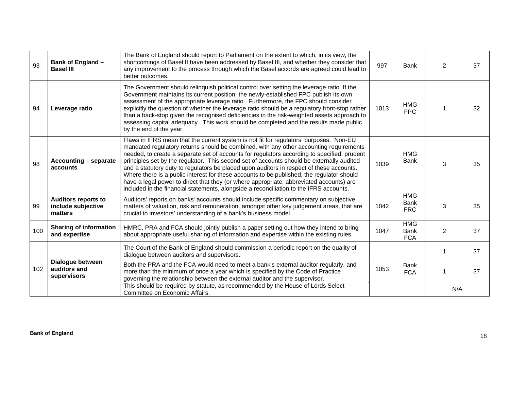| 93  | Bank of England -<br><b>Basel III</b>                       | The Bank of England should report to Parliament on the extent to which, in its view, the<br>shortcomings of Basel II have been addressed by Basel III, and whether they consider that<br>any improvement to the process through which the Basel accords are agreed could lead to<br>better outcomes.                                                                                                                                                                                                                                                                                                                                                                                                                                                       | 997  | <b>Bank</b>                             | 2              | 37 |
|-----|-------------------------------------------------------------|------------------------------------------------------------------------------------------------------------------------------------------------------------------------------------------------------------------------------------------------------------------------------------------------------------------------------------------------------------------------------------------------------------------------------------------------------------------------------------------------------------------------------------------------------------------------------------------------------------------------------------------------------------------------------------------------------------------------------------------------------------|------|-----------------------------------------|----------------|----|
| 94  | Leverage ratio                                              | The Government should relinquish political control over setting the leverage ratio. If the<br>Government maintains its current position, the newly-established FPC publish its own<br>assessment of the appropriate leverage ratio. Furthermore, the FPC should consider<br>explicitly the question of whether the leverage ratio should be a regulatory front-stop rather<br>than a back-stop given the recognised deficiencies in the risk-weighted assets approach to<br>assessing capital adequacy. This work should be completed and the results made public<br>by the end of the year.                                                                                                                                                               | 1013 | <b>HMG</b><br>FPC                       |                | 32 |
| 98  | Accounting – separate<br>accounts                           | Flaws in IFRS mean that the current system is not fit for regulators' purposes. Non-EU<br>mandated regulatory returns should be combined, with any other accounting requirements<br>needed, to create a separate set of accounts for regulators according to specified, prudent<br>principles set by the regulator. This second set of accounts should be externally audited<br>and a statutory duty to regulators be placed upon auditors in respect of these accounts.<br>Where there is a public interest for these accounts to be published, the regulator should<br>have a legal power to direct that they (or where appropriate, abbreviated accounts) are<br>included in the financial statements, alongside a reconciliation to the IFRS accounts. | 1039 | <b>HMG</b><br><b>Bank</b>               | 3              | 35 |
| 99  | <b>Auditors reports to</b><br>include subjective<br>matters | Auditors' reports on banks' accounts should include specific commentary on subjective<br>matters of valuation, risk and remuneration, amongst other key judgement areas, that are<br>crucial to investors' understanding of a bank's business model.                                                                                                                                                                                                                                                                                                                                                                                                                                                                                                       | 1042 | <b>HMG</b><br><b>Bank</b><br><b>FRC</b> | 3              | 35 |
| 100 | <b>Sharing of information</b><br>and expertise              | HMRC, PRA and FCA should jointly publish a paper setting out how they intend to bring<br>about appropriate useful sharing of information and expertise within the existing rules.                                                                                                                                                                                                                                                                                                                                                                                                                                                                                                                                                                          | 1047 | <b>HMG</b><br><b>Bank</b><br><b>FCA</b> | $\overline{2}$ | 37 |
|     |                                                             | The Court of the Bank of England should commission a periodic report on the quality of<br>dialogue between auditors and supervisors.                                                                                                                                                                                                                                                                                                                                                                                                                                                                                                                                                                                                                       |      |                                         |                | 37 |
| 102 | Dialogue between<br>auditors and<br>supervisors             | Both the PRA and the FCA would need to meet a bank's external auditor regularly, and<br>more than the minimum of once a year which is specified by the Code of Practice<br>governing the relationship between the external auditor and the supervisor.                                                                                                                                                                                                                                                                                                                                                                                                                                                                                                     | 1053 | <b>Bank</b><br><b>FCA</b>               | 1              | 37 |
|     |                                                             | This should be required by statute, as recommended by the House of Lords Select<br>Committee on Economic Affairs.                                                                                                                                                                                                                                                                                                                                                                                                                                                                                                                                                                                                                                          |      |                                         | N/A            |    |